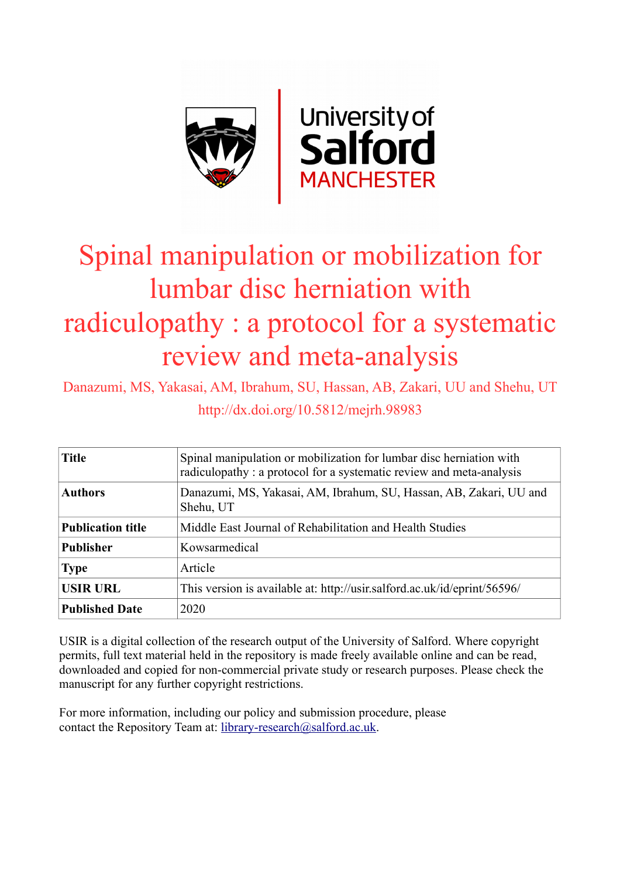

# Spinal manipulation or mobilization for lumbar disc herniation with radiculopathy : a protocol for a systematic review and meta-analysis

Danazumi, MS, Yakasai, AM, Ibrahum, SU, Hassan, AB, Zakari, UU and Shehu, UT http://dx.doi.org/10.5812/mejrh.98983

| <b>Title</b>             | Spinal manipulation or mobilization for lumbar disc herniation with<br>radiculopathy: a protocol for a systematic review and meta-analysis |
|--------------------------|--------------------------------------------------------------------------------------------------------------------------------------------|
| <b>Authors</b>           | Danazumi, MS, Yakasai, AM, Ibrahum, SU, Hassan, AB, Zakari, UU and<br>Shehu, UT                                                            |
| <b>Publication title</b> | Middle East Journal of Rehabilitation and Health Studies                                                                                   |
| <b>Publisher</b>         | Kowsarmedical                                                                                                                              |
| <b>Type</b>              | Article                                                                                                                                    |
| <b>USIR URL</b>          | This version is available at: http://usir.salford.ac.uk/id/eprint/56596/                                                                   |
| <b>Published Date</b>    | 2020                                                                                                                                       |

USIR is a digital collection of the research output of the University of Salford. Where copyright permits, full text material held in the repository is made freely available online and can be read, downloaded and copied for non-commercial private study or research purposes. Please check the manuscript for any further copyright restrictions.

For more information, including our policy and submission procedure, please contact the Repository Team at: [library-research@salford.ac.uk.](mailto:library-research@salford.ac.uk)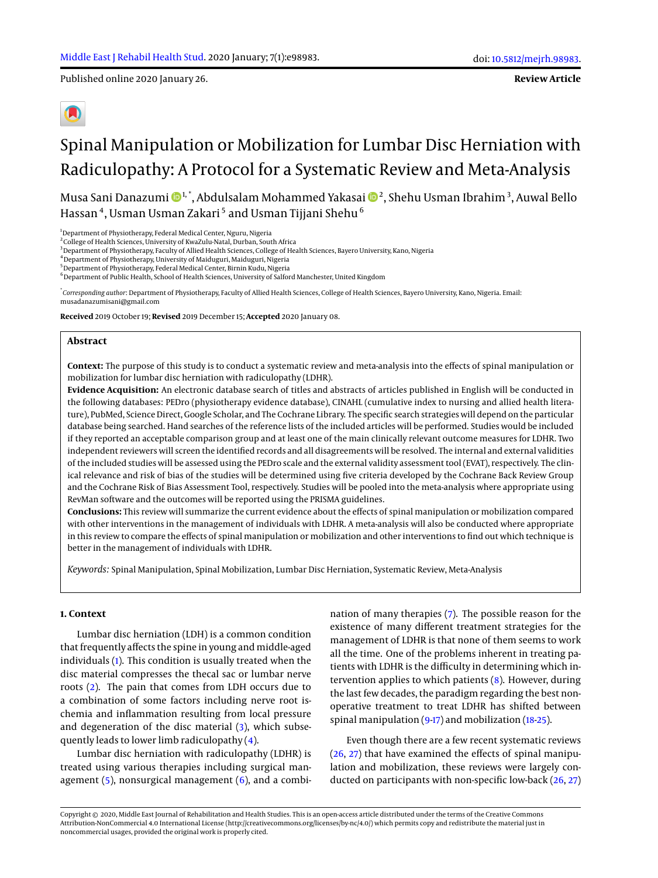Published online 2020 January 26.

**Review Article**

## Spinal Manipulation or Mobilization for Lumbar Disc Herniation with Radiculopathy: A Protocol for a Systematic Review and Meta-Analysis

Musa Sani Danazumi 1, \*, Abdulsalam Mohammed Yakasai <sup>2</sup> , Shehu Usman Ibrahim<sup>3</sup> , Auwal Bello Hassan $\,$ 4, Usman Usman Zakari $^5$  and Usman Tijjani Shehu $^6$ 

<sup>1</sup>Department of Physiotherapy, Federal Medical Center, Nguru, Nigeria

<sup>2</sup> College of Health Sciences, University of KwaZulu-Natal, Durban, South Africa

<sup>3</sup> Department of Physiotherapy, Faculty of Allied Health Sciences, College of Health Sciences, Bayero University, Kano, Nigeria

<sup>4</sup>Department of Physiotherapy, University of Maiduguri, Maiduguri, Nigeria <sup>5</sup>Department of Physiotherapy, Federal Medical Center, Birnin Kudu, Nigeria

<sup>6</sup> Department of Public Health, School of Health Sciences, University of Salford Manchester, United Kingdom

\* *Corresponding author*: Department of Physiotherapy, Faculty of Allied Health Sciences, College of Health Sciences, Bayero University, Kano, Nigeria. Email: musadanazumisani@gmail.com

**Received** 2019 October 19; **Revised** 2019 December 15; **Accepted** 2020 January 08.

#### **Abstract**

**Context:** The purpose of this study is to conduct a systematic review and meta-analysis into the effects of spinal manipulation or mobilization for lumbar disc herniation with radiculopathy (LDHR).

**Evidence Acquisition:** An electronic database search of titles and abstracts of articles published in English will be conducted in the following databases: PEDro (physiotherapy evidence database), CINAHL (cumulative index to nursing and allied health literature), PubMed, Science Direct, Google Scholar, and The Cochrane Library. The specific search strategies will depend on the particular database being searched. Hand searches of the reference lists of the included articles will be performed. Studies would be included if they reported an acceptable comparison group and at least one of the main clinically relevant outcome measures for LDHR. Two independent reviewers will screen the identified records and all disagreements will be resolved. The internal and external validities of the included studies will be assessed using the PEDro scale and the external validity assessment tool (EVAT), respectively. The clinical relevance and risk of bias of the studies will be determined using five criteria developed by the Cochrane Back Review Group and the Cochrane Risk of Bias Assessment Tool, respectively. Studies will be pooled into the meta-analysis where appropriate using RevMan software and the outcomes will be reported using the PRISMA guidelines.

**Conclusions:** This review will summarize the current evidence about the effects of spinal manipulation or mobilization compared with other interventions in the management of individuals with LDHR. A meta-analysis will also be conducted where appropriate in this review to compare the effects of spinal manipulation or mobilization and other interventions to find out which technique is better in the management of individuals with LDHR.

*Keywords:* Spinal Manipulation, Spinal Mobilization, Lumbar Disc Herniation, Systematic Review, Meta-Analysis

#### **1. Context**

Lumbar disc herniation (LDH) is a common condition that frequently affects the spine in young and middle-aged individuals [\(1\)](#page-5-0). This condition is usually treated when the disc material compresses the thecal sac or lumbar nerve roots [\(2\)](#page-5-1). The pain that comes from LDH occurs due to a combination of some factors including nerve root ischemia and inflammation resulting from local pressure and degeneration of the disc material [\(3\)](#page-5-2), which subsequently leads to lower limb radiculopathy [\(4\)](#page-5-3).

Lumbar disc herniation with radiculopathy (LDHR) is treated using various therapies including surgical management  $(5)$ , nonsurgical management  $(6)$ , and a combination of many therapies [\(7\)](#page-5-6). The possible reason for the existence of many different treatment strategies for the management of LDHR is that none of them seems to work all the time. One of the problems inherent in treating patients with LDHR is the difficulty in determining which intervention applies to which patients [\(8\)](#page-5-7). However, during the last few decades, the paradigm regarding the best nonoperative treatment to treat LDHR has shifted between spinal manipulation  $(9-17)$  $(9-17)$  and mobilization  $(18-25)$  $(18-25)$ .

Even though there are a few recent systematic reviews [\(26,](#page-6-1) [27\)](#page-6-2) that have examined the effects of spinal manipulation and mobilization, these reviews were largely conducted on participants with non-specific low-back [\(26,](#page-6-1) [27\)](#page-6-2)

Copyright © 2020, Middle East Journal of Rehabilitation and Health Studies. This is an open-access article distributed under the terms of the Creative Commons Attribution-NonCommercial 4.0 International License (http://creativecommons.org/licenses/by-nc/4.0/) which permits copy and redistribute the material just in noncommercial usages, provided the original work is properly cited.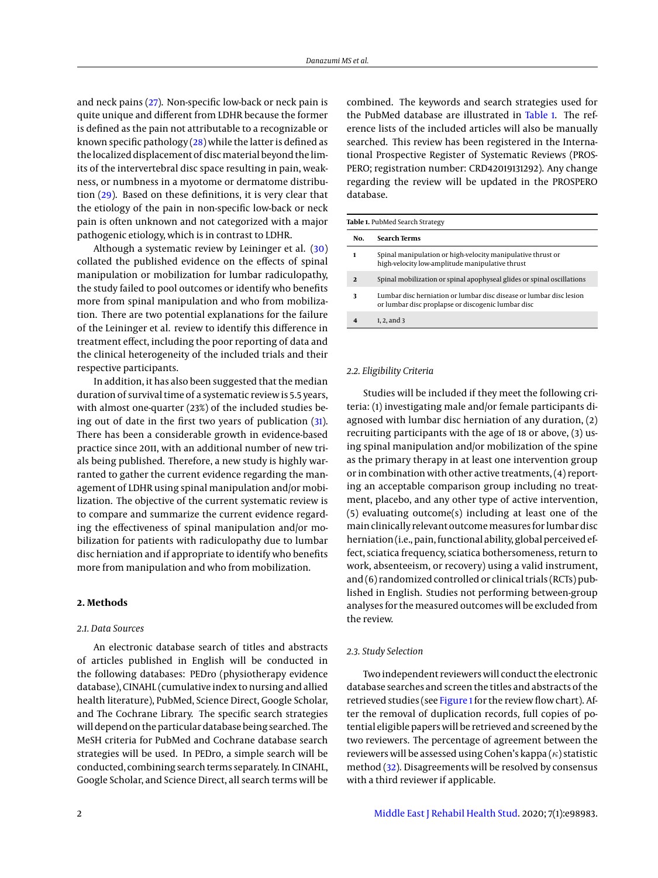and neck pains [\(27\)](#page-6-2). Non-specific low-back or neck pain is quite unique and different from LDHR because the former is defined as the pain not attributable to a recognizable or known specific pathology [\(28\)](#page-6-3) while the latter is defined as the localized displacement of disc material beyond the limits of the intervertebral disc space resulting in pain, weakness, or numbness in a myotome or dermatome distribution [\(29\)](#page-6-4). Based on these definitions, it is very clear that the etiology of the pain in non-specific low-back or neck pain is often unknown and not categorized with a major pathogenic etiology, which is in contrast to LDHR.

Although a systematic review by Leininger et al. [\(30\)](#page-6-5) collated the published evidence on the effects of spinal manipulation or mobilization for lumbar radiculopathy, the study failed to pool outcomes or identify who benefits more from spinal manipulation and who from mobilization. There are two potential explanations for the failure of the Leininger et al. review to identify this difference in treatment effect, including the poor reporting of data and the clinical heterogeneity of the included trials and their respective participants.

In addition, it has also been suggested that the median duration of survival time of a systematic review is 5.5 years, with almost one-quarter (23%) of the included studies being out of date in the first two years of publication [\(31\)](#page-6-6). There has been a considerable growth in evidence-based practice since 2011, with an additional number of new trials being published. Therefore, a new study is highly warranted to gather the current evidence regarding the management of LDHR using spinal manipulation and/or mobilization. The objective of the current systematic review is to compare and summarize the current evidence regarding the effectiveness of spinal manipulation and/or mobilization for patients with radiculopathy due to lumbar disc herniation and if appropriate to identify who benefits more from manipulation and who from mobilization.

#### **2. Methods**

#### *2.1. Data Sources*

An electronic database search of titles and abstracts of articles published in English will be conducted in the following databases: PEDro (physiotherapy evidence database), CINAHL (cumulative index to nursing and allied health literature), PubMed, Science Direct, Google Scholar, and The Cochrane Library. The specific search strategies will depend on the particular database being searched. The MeSH criteria for PubMed and Cochrane database search strategies will be used. In PEDro, a simple search will be conducted, combining search terms separately. In CINAHL, Google Scholar, and Science Direct, all search terms will be

combined. The keywords and search strategies used for the PubMed database are illustrated in [Table 1.](#page-2-0) The reference lists of the included articles will also be manually searched. This review has been registered in the International Prospective Register of Systematic Reviews (PROS-PERO; registration number: CRD42019131292). Any change regarding the review will be updated in the PROSPERO database.

<span id="page-2-0"></span>

| No.          | <b>Search Terms</b>                                                                                                       |  |
|--------------|---------------------------------------------------------------------------------------------------------------------------|--|
| 1            | Spinal manipulation or high-velocity manipulative thrust or<br>high-velocity low-amplitude manipulative thrust            |  |
| $\mathbf{2}$ | Spinal mobilization or spinal apophyseal glides or spinal oscillations                                                    |  |
| 3            | Lumbar disc herniation or lumbar disc disease or lumbar disc lesion<br>or lumbar disc proplapse or discogenic lumbar disc |  |
|              | 1, 2, and 3                                                                                                               |  |

#### *2.2. Eligibility Criteria*

Studies will be included if they meet the following criteria: (1) investigating male and/or female participants diagnosed with lumbar disc herniation of any duration, (2) recruiting participants with the age of 18 or above, (3) using spinal manipulation and/or mobilization of the spine as the primary therapy in at least one intervention group or in combination with other active treatments, (4) reporting an acceptable comparison group including no treatment, placebo, and any other type of active intervention, (5) evaluating outcome(s) including at least one of the main clinically relevant outcome measures for lumbar disc herniation (i.e., pain, functional ability, global perceived effect, sciatica frequency, sciatica bothersomeness, return to work, absenteeism, or recovery) using a valid instrument, and (6) randomized controlled or clinical trials (RCTs) published in English. Studies not performing between-group analyses for the measured outcomes will be excluded from the review.

#### *2.3. Study Selection*

Two independent reviewers will conduct the electronic database searches and screen the titles and abstracts of the retrieved studies (see [Figure 1](#page-3-0) for the review flow chart). After the removal of duplication records, full copies of potential eligible papers will be retrieved and screened by the two reviewers. The percentage of agreement between the reviewers will be assessed using Cohen's kappa  $(\kappa)$  statistic method [\(32\)](#page-6-7). Disagreements will be resolved by consensus with a third reviewer if applicable.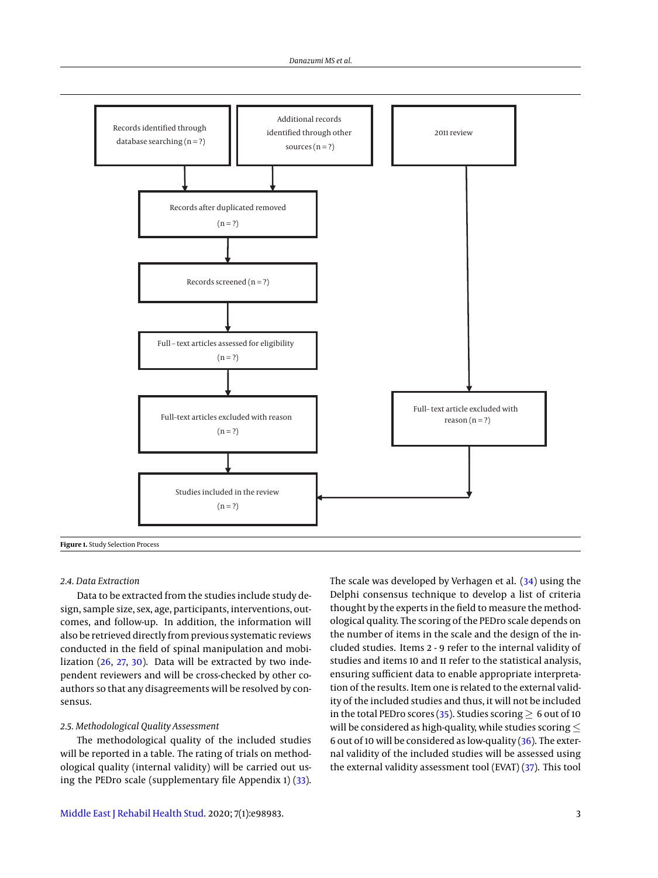<span id="page-3-0"></span>

#### *2.4. Data Extraction*

Data to be extracted from the studies include study design, sample size, sex, age, participants, interventions, outcomes, and follow-up. In addition, the information will also be retrieved directly from previous systematic reviews conducted in the field of spinal manipulation and mobilization [\(26,](#page-6-1) [27,](#page-6-2) [30\)](#page-6-5). Data will be extracted by two independent reviewers and will be cross-checked by other coauthors so that any disagreements will be resolved by consensus.

#### *2.5. Methodological Quality Assessment*

The methodological quality of the included studies will be reported in a table. The rating of trials on methodological quality (internal validity) will be carried out using the PEDro scale (supplementary file Appendix 1) [\(33\)](#page-6-8). The scale was developed by Verhagen et al. [\(34\)](#page-6-9) using the Delphi consensus technique to develop a list of criteria thought by the experts in the field to measure the methodological quality. The scoring of the PEDro scale depends on the number of items in the scale and the design of the included studies. Items 2 - 9 refer to the internal validity of studies and items 10 and 11 refer to the statistical analysis, ensuring sufficient data to enable appropriate interpretation of the results. Item one is related to the external validity of the included studies and thus, it will not be included in the total PEDro scores [\(35\)](#page-6-10). Studies scoring  $\geq 6$  out of 10 will be considered as high-quality, while studies scoring  $\leq$ 6 out of 10 will be considered as low-quality  $(36)$ . The external validity of the included studies will be assessed using the external validity assessment tool (EVAT) [\(37\)](#page-6-12). This tool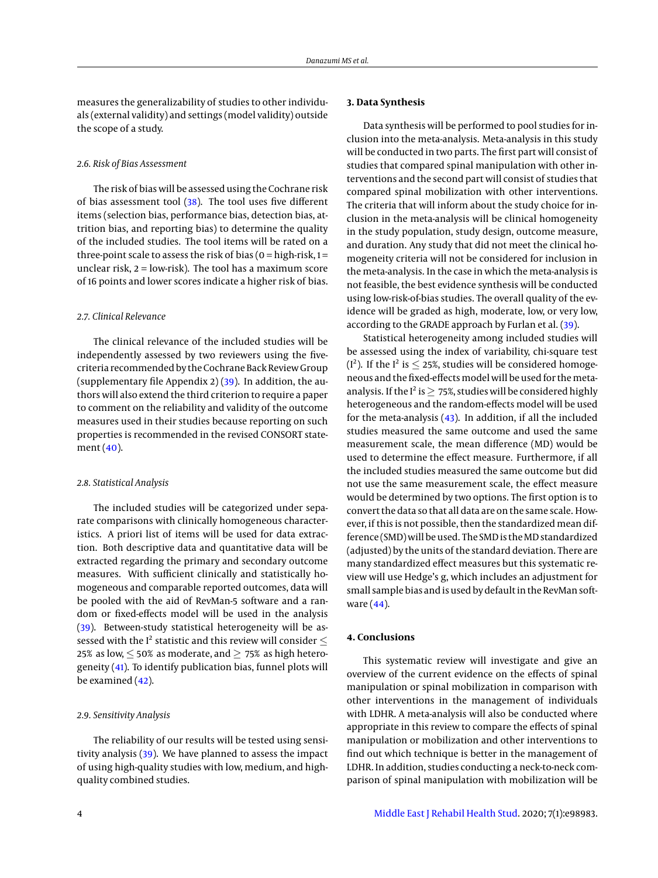measures the generalizability of studies to other individuals (external validity) and settings (model validity) outside the scope of a study.

#### *2.6. Risk of Bias Assessment*

The risk of bias will be assessed using the Cochrane risk of bias assessment tool [\(38\)](#page-6-13). The tool uses five different items (selection bias, performance bias, detection bias, attrition bias, and reporting bias) to determine the quality of the included studies. The tool items will be rated on a three-point scale to assess the risk of bias ( $o = high-risk, 1 =$ unclear risk,  $2 =$  low-risk). The tool has a maximum score of 16 points and lower scores indicate a higher risk of bias.

#### *2.7. Clinical Relevance*

The clinical relevance of the included studies will be independently assessed by two reviewers using the fivecriteria recommended by the Cochrane Back Review Group (supplementary file Appendix 2)  $(39)$ . In addition, the authors will also extend the third criterion to require a paper to comment on the reliability and validity of the outcome measures used in their studies because reporting on such properties is recommended in the revised CONSORT statement [\(40\)](#page-6-15).

#### *2.8. Statistical Analysis*

The included studies will be categorized under separate comparisons with clinically homogeneous characteristics. A priori list of items will be used for data extraction. Both descriptive data and quantitative data will be extracted regarding the primary and secondary outcome measures. With sufficient clinically and statistically homogeneous and comparable reported outcomes, data will be pooled with the aid of RevMan-5 software and a random or fixed-effects model will be used in the analysis [\(39\)](#page-6-14). Between-study statistical heterogeneity will be assessed with the I<sup>2</sup> statistic and this review will consider  $\leq$ 25% as low,  $\leq$  50% as moderate, and  $\geq$  75% as high heterogeneity [\(41\)](#page-6-16). To identify publication bias, funnel plots will be examined  $(42)$ .

#### *2.9. Sensitivity Analysis*

The reliability of our results will be tested using sensitivity analysis [\(39\)](#page-6-14). We have planned to assess the impact of using high-quality studies with low, medium, and highquality combined studies.

### **3. Data Synthesis**

Data synthesis will be performed to pool studies for inclusion into the meta-analysis. Meta-analysis in this study will be conducted in two parts. The first part will consist of studies that compared spinal manipulation with other interventions and the second part will consist of studies that compared spinal mobilization with other interventions. The criteria that will inform about the study choice for inclusion in the meta-analysis will be clinical homogeneity in the study population, study design, outcome measure, and duration. Any study that did not meet the clinical homogeneity criteria will not be considered for inclusion in the meta-analysis. In the case in which the meta-analysis is not feasible, the best evidence synthesis will be conducted using low-risk-of-bias studies. The overall quality of the evidence will be graded as high, moderate, low, or very low, according to the GRADE approach by Furlan et al. [\(39\)](#page-6-14).

Statistical heterogeneity among included studies will be assessed using the index of variability, chi-square test ( $I^2$ ). If the  $I^2$  is  $\leq$  25%, studies will be considered homogeneous and the fixed-effects model will be used for the metaanalysis. If the  $I^2$  is  $\geq 75\%$ , studies will be considered highly heterogeneous and the random-effects model will be used for the meta-analysis [\(43\)](#page-6-18). In addition, if all the included studies measured the same outcome and used the same measurement scale, the mean difference (MD) would be used to determine the effect measure. Furthermore, if all the included studies measured the same outcome but did not use the same measurement scale, the effect measure would be determined by two options. The first option is to convert the data so that all data are on the same scale. However, if this is not possible, then the standardized mean difference (SMD) will be used. The SMD is the MD standardized (adjusted) by the units of the standard deviation. There are many standardized effect measures but this systematic review will use Hedge's g, which includes an adjustment for small sample bias and is used by default in the RevMan software [\(44\)](#page-6-19).

#### **4. Conclusions**

This systematic review will investigate and give an overview of the current evidence on the effects of spinal manipulation or spinal mobilization in comparison with other interventions in the management of individuals with LDHR. A meta-analysis will also be conducted where appropriate in this review to compare the effects of spinal manipulation or mobilization and other interventions to find out which technique is better in the management of LDHR. In addition, studies conducting a neck-to-neck comparison of spinal manipulation with mobilization will be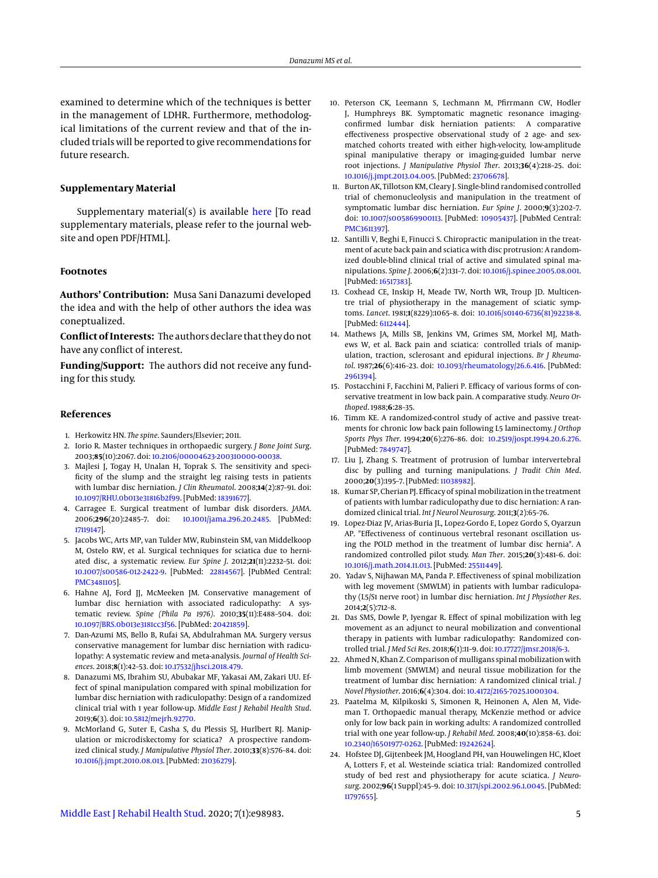examined to determine which of the techniques is better in the management of LDHR. Furthermore, methodological limitations of the current review and that of the included trials will be reported to give recommendations for future research.

#### **Supplementary Material**

Supplementary material(s) is available [here](http://mejrh.neoscriber.org/cdn/dl/5ca223d8-400b-11ea-84fc-7b2cad39bd92) [To read supplementary materials, please refer to the journal website and open PDF/HTML].

#### **Footnotes**

**Authors' Contribution:** Musa Sani Danazumi developed the idea and with the help of other authors the idea was coneptualized.

**Conflict of Interests:** The authors declare that they do not have any conflict of interest.

**Funding/Support:** The authors did not receive any funding for this study.

#### **References**

- <span id="page-5-0"></span>1. Herkowitz HN. *The spine*. Saunders/Elsevier; 2011.
- <span id="page-5-1"></span>2. Iorio R. Master techniques in orthopaedic surgery. *J Bone Joint Surg*. 2003;**85**(10):2067. doi: [10.2106/00004623-200310000-00038.](http://dx.doi.org/10.2106/00004623-200310000-00038)
- <span id="page-5-2"></span>3. Majlesi J, Togay H, Unalan H, Toprak S. The sensitivity and specificity of the slump and the straight leg raising tests in patients with lumbar disc herniation. *J Clin Rheumatol*. 2008;**14**(2):87–91. doi: [10.1097/RHU.0b013e31816b2f99.](http://dx.doi.org/10.1097/RHU.0b013e31816b2f99) [PubMed: [18391677\]](http://www.ncbi.nlm.nih.gov/pubmed/18391677).
- <span id="page-5-3"></span>4. Carragee E. Surgical treatment of lumbar disk disorders. *JAMA*. 2006;**296**(20):2485–7. doi: [10.1001/jama.296.20.2485.](http://dx.doi.org/10.1001/jama.296.20.2485) [PubMed: [17119147\]](http://www.ncbi.nlm.nih.gov/pubmed/17119147).
- <span id="page-5-4"></span>5. Jacobs WC, Arts MP, van Tulder MW, Rubinstein SM, van Middelkoop M, Ostelo RW, et al. Surgical techniques for sciatica due to herniated disc, a systematic review. *Eur Spine J*. 2012;**21**(11):2232–51. doi: [10.1007/s00586-012-2422-9.](http://dx.doi.org/10.1007/s00586-012-2422-9) [PubMed: [22814567\]](http://www.ncbi.nlm.nih.gov/pubmed/22814567). [PubMed Central: [PMC3481105\]](https://www.ncbi.nlm.nih.gov/pmc/articles/PMC3481105).
- <span id="page-5-5"></span>6. Hahne AJ, Ford JJ, McMeeken JM. Conservative management of lumbar disc herniation with associated radiculopathy: A systematic review. *Spine (Phila Pa 1976)*. 2010;**35**(11):E488–504. doi: [10.1097/BRS.0b013e3181cc3f56.](http://dx.doi.org/10.1097/BRS.0b013e3181cc3f56) [PubMed: [20421859\]](http://www.ncbi.nlm.nih.gov/pubmed/20421859).
- <span id="page-5-6"></span>7. Dan-Azumi MS, Bello B, Rufai SA, Abdulrahman MA. Surgery versus conservative management for lumbar disc herniation with radiculopathy: A systematic review and meta-analysis. *Journal of Health Sciences*. 2018;**8**(1):42–53. doi: [10.17532/jhsci.2018.479.](http://dx.doi.org/10.17532/jhsci.2018.479)
- <span id="page-5-7"></span>8. Danazumi MS, Ibrahim SU, Abubakar MF, Yakasai AM, Zakari UU. Effect of spinal manipulation compared with spinal mobilization for lumbar disc herniation with radiculopathy: Design of a randomized clinical trial with 1 year follow-up. *Middle East J Rehabil Health Stud*. 2019;**6**(3). doi: [10.5812/mejrh.92770.](http://dx.doi.org/10.5812/mejrh.92770)
- <span id="page-5-8"></span>9. McMorland G, Suter E, Casha S, du Plessis SJ, Hurlbert RJ. Manipulation or microdiskectomy for sciatica? A prospective randomized clinical study. *J Manipulative Physiol Ther*. 2010;**33**(8):576–84. doi: [10.1016/j.jmpt.2010.08.013.](http://dx.doi.org/10.1016/j.jmpt.2010.08.013) [PubMed: [21036279\]](http://www.ncbi.nlm.nih.gov/pubmed/21036279).
- 10. Peterson CK, Leemann S, Lechmann M, Pfirrmann CW, Hodler J, Humphreys BK. Symptomatic magnetic resonance imagingconfirmed lumbar disk herniation patients: A comparative effectiveness prospective observational study of 2 age- and sexmatched cohorts treated with either high-velocity, low-amplitude spinal manipulative therapy or imaging-guided lumbar nerve root injections. *J Manipulative Physiol Ther*. 2013;**36**(4):218–25. doi: [10.1016/j.jmpt.2013.04.005.](http://dx.doi.org/10.1016/j.jmpt.2013.04.005) [PubMed: [23706678\]](http://www.ncbi.nlm.nih.gov/pubmed/23706678).
- 11. Burton AK, Tillotson KM, Cleary J. Single-blind randomised controlled trial of chemonucleolysis and manipulation in the treatment of symptomatic lumbar disc herniation. *Eur Spine J*. 2000;**9**(3):202–7. doi: [10.1007/s005869900113.](http://dx.doi.org/10.1007/s005869900113) [PubMed: [10905437\]](http://www.ncbi.nlm.nih.gov/pubmed/10905437). [PubMed Central: [PMC3611397\]](https://www.ncbi.nlm.nih.gov/pmc/articles/PMC3611397).
- 12. Santilli V, Beghi E, Finucci S. Chiropractic manipulation in the treatment of acute back pain and sciatica with disc protrusion: A randomized double-blind clinical trial of active and simulated spinal manipulations. *Spine J*. 2006;**6**(2):131–7. doi: [10.1016/j.spinee.2005.08.001.](http://dx.doi.org/10.1016/j.spinee.2005.08.001) [PubMed: [16517383\]](http://www.ncbi.nlm.nih.gov/pubmed/16517383).
- 13. Coxhead CE, Inskip H, Meade TW, North WR, Troup JD. Multicentre trial of physiotherapy in the management of sciatic symptoms. *Lancet*. 1981;**1**(8229):1065–8. doi: [10.1016/s0140-6736\(81\)92238-8.](http://dx.doi.org/10.1016/s0140-6736(81)92238-8) [PubMed: [6112444\]](http://www.ncbi.nlm.nih.gov/pubmed/6112444).
- 14. Mathews JA, Mills SB, Jenkins VM, Grimes SM, Morkel MJ, Mathews W, et al. Back pain and sciatica: controlled trials of manipulation, traction, sclerosant and epidural injections. *Br J Rheumatol*. 1987;**26**(6):416–23. doi: [10.1093/rheumatology/26.6.416.](http://dx.doi.org/10.1093/rheumatology/26.6.416) [PubMed: [2961394\]](http://www.ncbi.nlm.nih.gov/pubmed/2961394).
- 15. Postacchini F, Facchini M, Palieri P. Efficacy of various forms of conservative treatment in low back pain. A comparative study. *Neuro Orthoped*. 1988;**6**:28–35.
- 16. Timm KE. A randomized-control study of active and passive treatments for chronic low back pain following L5 laminectomy. *J Orthop Sports Phys Ther*. 1994;**20**(6):276–86. doi: [10.2519/jospt.1994.20.6.276.](http://dx.doi.org/10.2519/jospt.1994.20.6.276) [PubMed: [7849747\]](http://www.ncbi.nlm.nih.gov/pubmed/7849747).
- <span id="page-5-9"></span>17. Liu J, Zhang S. Treatment of protrusion of lumbar intervertebral disc by pulling and turning manipulations. *J Tradit Chin Med*. 2000;**20**(3):195–7. [PubMed: [11038982\]](http://www.ncbi.nlm.nih.gov/pubmed/11038982).
- <span id="page-5-10"></span>18. Kumar SP, Cherian PJ. Efficacy of spinal mobilization in the treatment of patients with lumbar radiculopathy due to disc herniation: A randomized clinical trial. *Int J Neurol Neurosurg*. 2011;**3**(2):65–76.
- 19. Lopez-Diaz JV, Arias-Buria JL, Lopez-Gordo E, Lopez Gordo S, Oyarzun AP. "Effectiveness of continuous vertebral resonant oscillation using the POLD method in the treatment of lumbar disc hernia". A randomized controlled pilot study. *Man Ther*. 2015;**20**(3):481–6. doi: [10.1016/j.math.2014.11.013.](http://dx.doi.org/10.1016/j.math.2014.11.013) [PubMed: [25511449\]](http://www.ncbi.nlm.nih.gov/pubmed/25511449).
- 20. Yadav S, Nijhawan MA, Panda P. Effectiveness of spinal mobilization with leg movement (SMWLM) in patients with lumbar radiculopathy (L5/S1 nerve root) in lumbar disc herniation. *Int J Physiother Res*. 2014;**2**(5):712–8.
- 21. Das SMS, Dowle P, Iyengar R. Effect of spinal mobilization with leg movement as an adjunct to neural mobilization and conventional therapy in patients with lumbar radiculopathy: Randomized controlled trial. *J Med Sci Res*. 2018;**6**(1):11–9. doi: [10.17727/jmsr.2018/6-3.](http://dx.doi.org/10.17727/jmsr.2018/6-3)
- 22. Ahmed N, Khan Z. Comparison of mulligans spinal mobilization with limb movement (SMWLM) and neural tissue mobilization for the treatment of lumbar disc herniation: A randomized clinical trial. *J Novel Physiother*. 2016;**6**(4):304. doi: [10.4172/2165-7025.1000304.](http://dx.doi.org/10.4172/2165-7025.1000304)
- 23. Paatelma M, Kilpikoski S, Simonen R, Heinonen A, Alen M, Videman T. Orthopaedic manual therapy, McKenzie method or advice only for low back pain in working adults: A randomized controlled trial with one year follow-up. *J Rehabil Med*. 2008;**40**(10):858–63. doi: [10.2340/16501977-0262.](http://dx.doi.org/10.2340/16501977-0262) [PubMed: [19242624\]](http://www.ncbi.nlm.nih.gov/pubmed/19242624).
- 24. Hofstee DJ, Gijtenbeek JM, Hoogland PH, van Houwelingen HC, Kloet A, Lotters F, et al. Westeinde sciatica trial: Randomized controlled study of bed rest and physiotherapy for acute sciatica. *J Neurosurg*. 2002;**96**(1 Suppl):45–9. doi: [10.3171/spi.2002.96.1.0045.](http://dx.doi.org/10.3171/spi.2002.96.1.0045) [PubMed: [11797655\]](http://www.ncbi.nlm.nih.gov/pubmed/11797655).

[Middle East J Rehabil Health Stud.](http://jrehabilhealth.com) 2020; 7(1):e98983. 5